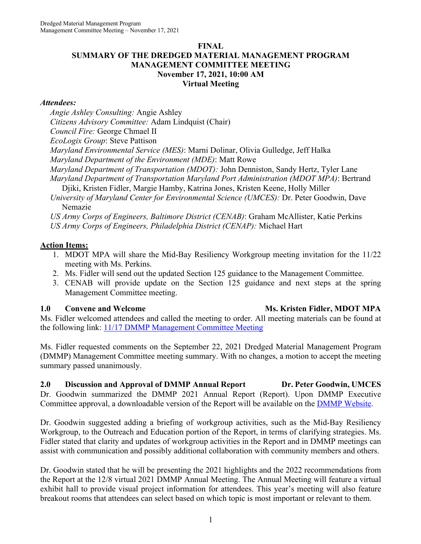## **FINAL SUMMARY OF THE DREDGED MATERIAL MANAGEMENT PROGRAM MANAGEMENT COMMITTEE MEETING November 17, 2021, 10:00 AM Virtual Meeting**

## *Attendees:*

*Angie Ashley Consulting:* Angie Ashley *Citizens Advisory Committee:* Adam Lindquist (Chair) *Council Fire:* George Chmael II *EcoLogix Group*: Steve Pattison *Maryland Environmental Service (MES)*: Marni Dolinar, Olivia Gulledge, Jeff Halka *Maryland Department of the Environment (MDE)*: Matt Rowe *Maryland Department of Transportation (MDOT):* John Denniston, Sandy Hertz, Tyler Lane *Maryland Department of Transportation Maryland Port Administration (MDOT MPA)*: Bertrand Djiki, Kristen Fidler, Margie Hamby, Katrina Jones, Kristen Keene, Holly Miller *University of Maryland Center for Environmental Science (UMCES):* Dr. Peter Goodwin, Dave Nemazie *US Army Corps of Engineers, Baltimore District (CENAB)*: Graham McAllister, Katie Perkins *US Army Corps of Engineers, Philadelphia District (CENAP):* Michael Hart

### **Action Items:**

- 1. MDOT MPA will share the Mid-Bay Resiliency Workgroup meeting invitation for the 11/22 meeting with Ms. Perkins.
- 2. Ms. Fidler will send out the updated Section 125 guidance to the Management Committee.
- 3. CENAB will provide update on the Section 125 guidance and next steps at the spring Management Committee meeting.

Ms. Fidler welcomed attendees and called the meeting to order. All meeting materials can be found at the following link: 11/17 DMMP Management Committee Meeting

Ms. Fidler requested comments on the September 22, 2021 Dredged Material Management Program (DMMP) Management Committee meeting summary. With no changes, a motion to accept the meeting summary passed unanimously.

**2.0 Discussion and Approval of DMMP Annual Report Dr. Peter Goodwin, UMCES** Dr. Goodwin summarized the DMMP 2021 Annual Report (Report). Upon DMMP Executive Committee approval, a downloadable version of the Report will be available on the DMMP Website.

Dr. Goodwin suggested adding a briefing of workgroup activities, such as the Mid-Bay Resiliency Workgroup, to the Outreach and Education portion of the Report, in terms of clarifying strategies. Ms. Fidler stated that clarity and updates of workgroup activities in the Report and in DMMP meetings can assist with communication and possibly additional collaboration with community members and others.

Dr. Goodwin stated that he will be presenting the 2021 highlights and the 2022 recommendations from the Report at the 12/8 virtual 2021 DMMP Annual Meeting. The Annual Meeting will feature a virtual exhibit hall to provide visual project information for attendees. This year's meeting will also feature breakout rooms that attendees can select based on which topic is most important or relevant to them.

# **1.0 Convene and Welcome Ms. Kristen Fidler, MDOT MPA**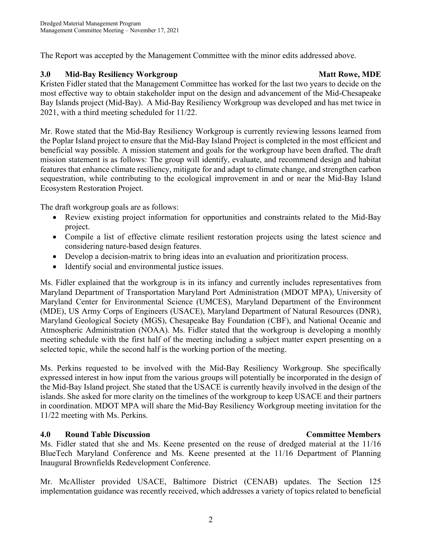The Report was accepted by the Management Committee with the minor edits addressed above.

# **3.0 Mid-Bay Resiliency Workgroup Matt Rowe, MDE**

Kristen Fidler stated that the Management Committee has worked for the last two years to decide on the most effective way to obtain stakeholder input on the design and advancement of the Mid-Chesapeake Bay Islands project (Mid-Bay). A Mid-Bay Resiliency Workgroup was developed and has met twice in 2021, with a third meeting scheduled for 11/22.

Mr. Rowe stated that the Mid-Bay Resiliency Workgroup is currently reviewing lessons learned from the Poplar Island project to ensure that the Mid-Bay Island Project is completed in the most efficient and beneficial way possible. A mission statement and goals for the workgroup have been drafted. The draft mission statement is as follows: The group will identify, evaluate, and recommend design and habitat features that enhance climate resiliency, mitigate for and adapt to climate change, and strengthen carbon sequestration, while contributing to the ecological improvement in and or near the Mid-Bay Island Ecosystem Restoration Project.

The draft workgroup goals are as follows:

- Review existing project information for opportunities and constraints related to the Mid-Bay project.
- Compile a list of effective climate resilient restoration projects using the latest science and considering nature-based design features.
- Develop a decision-matrix to bring ideas into an evaluation and prioritization process.
- Identify social and environmental justice issues.

Ms. Fidler explained that the workgroup is in its infancy and currently includes representatives from Maryland Department of Transportation Maryland Port Administration (MDOT MPA), University of Maryland Center for Environmental Science (UMCES), Maryland Department of the Environment (MDE), US Army Corps of Engineers (USACE), Maryland Department of Natural Resources (DNR), Maryland Geological Society (MGS), Chesapeake Bay Foundation (CBF), and National Oceanic and Atmospheric Administration (NOAA). Ms. Fidler stated that the workgroup is developing a monthly meeting schedule with the first half of the meeting including a subject matter expert presenting on a selected topic, while the second half is the working portion of the meeting.

Ms. Perkins requested to be involved with the Mid-Bay Resiliency Workgroup. She specifically expressed interest in how input from the various groups will potentially be incorporated in the design of the Mid-Bay Island project. She stated that the USACE is currently heavily involved in the design of the islands. She asked for more clarity on the timelines of the workgroup to keep USACE and their partners in coordination. MDOT MPA will share the Mid-Bay Resiliency Workgroup meeting invitation for the 11/22 meeting with Ms. Perkins.

# **4.0 Round Table Discussion Committee Members**

Ms. Fidler stated that she and Ms. Keene presented on the reuse of dredged material at the 11/16 BlueTech Maryland Conference and Ms. Keene presented at the 11/16 Department of Planning Inaugural Brownfields Redevelopment Conference.

Mr. McAllister provided USACE, Baltimore District (CENAB) updates. The Section 125 implementation guidance was recently received, which addresses a variety of topics related to beneficial